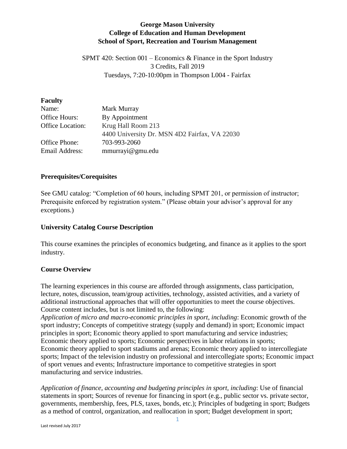# **George Mason University College of Education and Human Development School of Sport, Recreation and Tourism Management**

SPMT 420: Section 001 – Economics & Finance in the Sport Industry 3 Credits, Fall 2019 Tuesdays, 7:20-10:00pm in Thompson L004 - Fairfax

### **Faculty**

| Name:            | Mark Murray                                   |  |  |
|------------------|-----------------------------------------------|--|--|
| Office Hours:    | By Appointment                                |  |  |
| Office Location: | Krug Hall Room 213                            |  |  |
|                  | 4400 University Dr. MSN 4D2 Fairfax, VA 22030 |  |  |
| Office Phone:    | 703-993-2060                                  |  |  |
| Email Address:   | mmurrayi@gmu.edu                              |  |  |

### **Prerequisites/Corequisites**

See GMU catalog: "Completion of 60 hours, including SPMT 201, or permission of instructor; Prerequisite enforced by registration system." (Please obtain your advisor's approval for any exceptions.)

# **University Catalog Course Description**

This course examines the principles of economics budgeting, and finance as it applies to the sport industry.

# **Course Overview**

The learning experiences in this course are afforded through assignments, class participation, lecture, notes, discussion, team/group activities, technology, assisted activities, and a variety of additional instructional approaches that will offer opportunities to meet the course objectives. Course content includes, but is not limited to, the following:

*Application of micro and macro-economic principles in sport, including*: Economic growth of the sport industry; Concepts of competitive strategy (supply and demand) in sport; Economic impact principles in sport; Economic theory applied to sport manufacturing and service industries; Economic theory applied to sports; Economic perspectives in labor relations in sports; Economic theory applied to sport stadiums and arenas; Economic theory applied to intercollegiate sports; Impact of the television industry on professional and intercollegiate sports; Economic impact of sport venues and events; Infrastructure importance to competitive strategies in sport manufacturing and service industries.

*Application of finance, accounting and budgeting principles in sport, including*: Use of financial statements in sport; Sources of revenue for financing in sport (e.g., public sector vs. private sector, governments, membership, fees, PLS, taxes, bonds, etc.); Principles of budgeting in sport; Budgets as a method of control, organization, and reallocation in sport; Budget development in sport;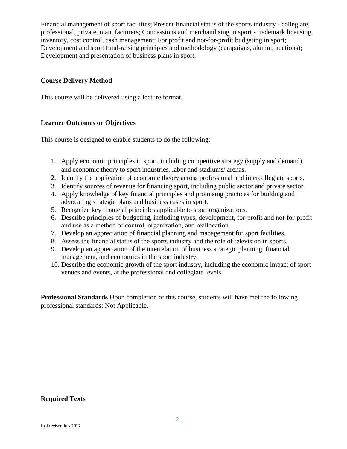Financial management of sport facilities; Present financial status of the sports industry - collegiate, professional, private, manufacturers; Concessions and merchandising in sport - trademark licensing, inventory, cost control, cash management; For profit and not-for-profit budgeting in sport; Development and sport fund-raising principles and methodology (campaigns, alumni, auctions); Development and presentation of business plans in sport.

#### **Course Delivery Method**

This course will be delivered using a lecture format.

#### **Learner Outcomes or Objectives**

This course is designed to enable students to do the following:

- 1. Apply economic principles in sport, including competitive strategy (supply and demand), and economic theory to sport industries, labor and stadiums/ arenas.
- 2. Identify the application of economic theory across professional and intercollegiate sports.
- 3. Identify sources of revenue for financing sport, including public sector and private sector.
- 4. Apply knowledge of key financial principles and promising practices for building and advocating strategic plans and business cases in sport.
- 5. Recognize key financial principles applicable to sport organizations.
- 6. Describe principles of budgeting, including types, development, for‐profit and not‐for‐profit and use as a method of control, organization, and reallocation.
- 7. Develop an appreciation of financial planning and management for sport facilities.
- 8. Assess the financial status of the sports industry and the role of television in sports.
- 9. Develop an appreciation of the interrelation of business strategic planning, financial management, and economics in the sport industry.
- 10. Describe the economic growth of the sport industry, including the economic impact of sport venues and events, at the professional and collegiate levels.

**Professional Standards** Upon completion of this course, students will have met the following professional standards: Not Applicable.

#### **Required Texts**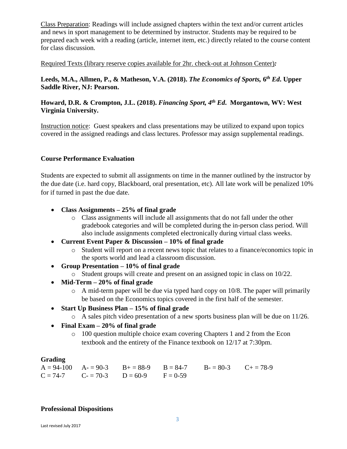Class Preparation: Readings will include assigned chapters within the text and/or current articles and news in sport management to be determined by instructor. Students may be required to be prepared each week with a reading (article, internet item, etc.) directly related to the course content for class discussion.

Required Texts (library reserve copies available for 2hr. check-out at Johnson Center)*:* 

**Leeds, M.A., Allmen, P., & Matheson, V.A. (2018).** *The Economics of Sports,* **6** *th Ed***. Upper Saddle River, NJ: Pearson.**

### **Howard, D.R. & Crompton, J.L. (2018).** *Financing Sport, 4th Ed***. Morgantown, WV: West Virginia University.**

Instruction notice: Guest speakers and class presentations may be utilized to expand upon topics covered in the assigned readings and class lectures. Professor may assign supplemental readings.

# **Course Performance Evaluation**

Students are expected to submit all assignments on time in the manner outlined by the instructor by the due date (i.e. hard copy, Blackboard, oral presentation, etc). All late work will be penalized 10% for if turned in past the due date.

- **Class Assignments – 25% of final grade**
	- o Class assignments will include all assignments that do not fall under the other gradebook categories and will be completed during the in-person class period. Will also include assignments completed electronically during virtual class weeks.
- **Current Event Paper & Discussion – 10% of final grade**
	- o Student will report on a recent news topic that relates to a finance/economics topic in the sports world and lead a classroom discussion.
- **Group Presentation – 10% of final grade**
	- o Student groups will create and present on an assigned topic in class on 10/22.
- **Mid-Term – 20% of final grade**
	- o A mid-term paper will be due via typed hard copy on 10/8. The paper will primarily be based on the Economics topics covered in the first half of the semester.
- **Start Up Business Plan – 15% of final grade**
	- o A sales pitch video presentation of a new sports business plan will be due on 11/26.
- **Final Exam – 20% of final grade**
	- o 100 question multiple choice exam covering Chapters 1 and 2 from the Econ textbook and the entirety of the Finance textbook on 12/17 at 7:30pm.

#### **Grading**

 $A = 94-100$   $A = 90-3$   $B = 88-9$   $B = 84-7$   $B = 80-3$   $C = 78-9$  $C = 74-7$   $C = 70-3$   $D = 60-9$   $F = 0-59$ 

#### **Professional Dispositions**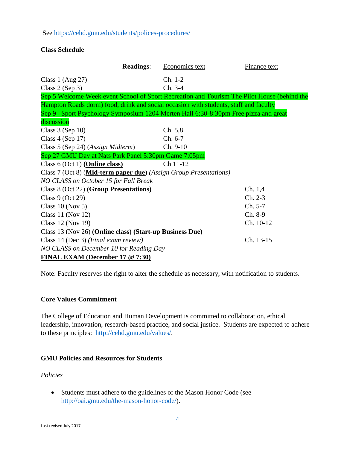### See<https://cehd.gmu.edu/students/polices-procedures/>

# **Class Schedule**

|                                                                                      | <b>Readings:</b> | Economics text | <b>Finance text</b>                                                                         |  |  |
|--------------------------------------------------------------------------------------|------------------|----------------|---------------------------------------------------------------------------------------------|--|--|
| Class $1$ (Aug 27)                                                                   |                  | $Ch. 1-2$      |                                                                                             |  |  |
| Class $2$ (Sep 3)                                                                    |                  | Ch. 3-4        |                                                                                             |  |  |
|                                                                                      |                  |                | Sep 5 Welcome Week event School of Sport Recreation and Tourism The Pilot House (behind the |  |  |
| Hampton Roads dorm) food, drink and social occasion with students, staff and faculty |                  |                |                                                                                             |  |  |
| Sep 9 Sport Psychology Symposium 1204 Merten Hall 6:30-8:30pm Free pizza and great   |                  |                |                                                                                             |  |  |
| discussion                                                                           |                  |                |                                                                                             |  |  |
| Class $3$ (Sep 10)                                                                   |                  | Ch. 5,8        |                                                                                             |  |  |
| Class $4$ (Sep 17)                                                                   |                  | Ch. 6-7        |                                                                                             |  |  |
| Class 5 (Sep 24) (Assign Midterm)                                                    |                  | $Ch. 9-10$     |                                                                                             |  |  |
| Sep 27 GMU Day at Nats Park Panel 5:30pm Game 7:05pm                                 |                  |                |                                                                                             |  |  |
| Class 6 (Oct 1) ( <b>Online class</b> )                                              |                  | Ch 11-12       |                                                                                             |  |  |
| Class 7 (Oct 8) (Mid-term paper due) (Assign Group Presentations)                    |                  |                |                                                                                             |  |  |
| NO CLASS on October 15 for Fall Break                                                |                  |                |                                                                                             |  |  |
| Class 8 (Oct 22) (Group Presentations)                                               |                  |                | Ch. 1,4                                                                                     |  |  |
| Class $9$ (Oct 29)                                                                   |                  |                | $Ch. 2-3$                                                                                   |  |  |
| Class 10 (Nov 5)                                                                     |                  |                | Ch. 5-7                                                                                     |  |  |
| Class 11 (Nov 12)                                                                    |                  |                | Ch. 8-9                                                                                     |  |  |
| Class 12 (Nov 19)                                                                    |                  |                | Ch. 10-12                                                                                   |  |  |
| Class 13 (Nov 26) (Online class) (Start-up Business Due)                             |                  |                |                                                                                             |  |  |
| Class 14 (Dec 3) (Final exam review)                                                 |                  |                | Ch. 13-15                                                                                   |  |  |
| NO CLASS on December 10 for Reading Day                                              |                  |                |                                                                                             |  |  |
| FINAL EXAM (December 17 @ 7:30)                                                      |                  |                |                                                                                             |  |  |

Note: Faculty reserves the right to alter the schedule as necessary, with notification to students.

# **Core Values Commitment**

The College of Education and Human Development is committed to collaboration, ethical leadership, innovation, research-based practice, and social justice. Students are expected to adhere to these principles: [http://cehd.gmu.edu/values/.](http://cehd.gmu.edu/values/)

#### **GMU Policies and Resources for Students**

*Policies*

 Students must adhere to the guidelines of the Mason Honor Code (see [http://oai.gmu.edu/the-mason-honor-code/\)](http://oai.gmu.edu/the-mason-honor-code/).